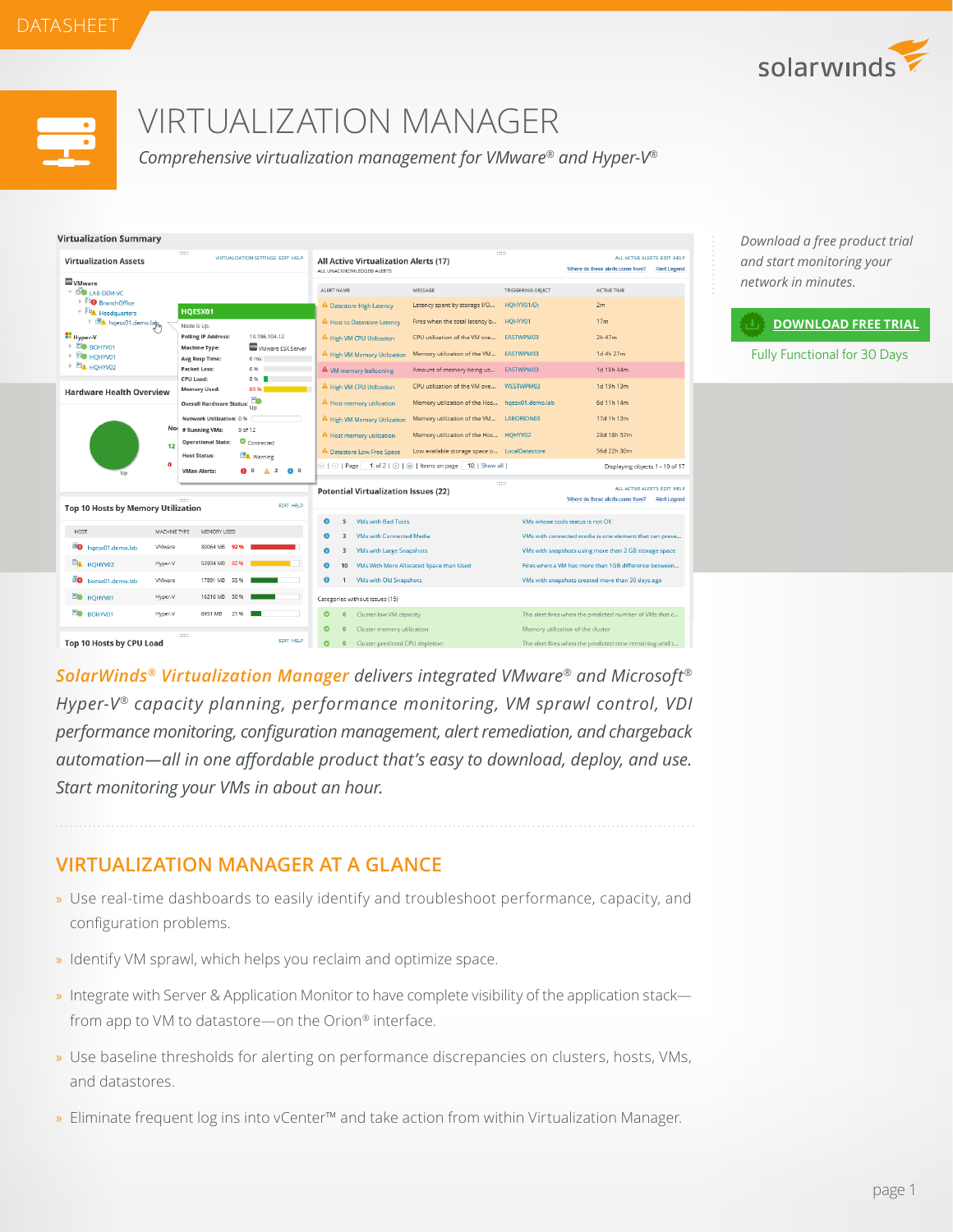



# VIRTUALIZATION MANAGER

*Comprehensive virtualization management for VMware® and Hyper-V®*

| <b>Virtualization Summary</b>                                                                                                           |                                                        |                                                                   |                                                                              |                                                                                                                                                                                                        |                                                               |                                                                                        |                                                                                        |  |
|-----------------------------------------------------------------------------------------------------------------------------------------|--------------------------------------------------------|-------------------------------------------------------------------|------------------------------------------------------------------------------|--------------------------------------------------------------------------------------------------------------------------------------------------------------------------------------------------------|---------------------------------------------------------------|----------------------------------------------------------------------------------------|----------------------------------------------------------------------------------------|--|
| 11111<br>VIRTUALIZATION SETTINGS EDIT HELP<br><b>Virtualization Assets</b>                                                              |                                                        |                                                                   | 111111<br>All Active Virtualization Alerts (17)<br>ALL UNACKNOWLEDGED ALERTS |                                                                                                                                                                                                        |                                                               | ALL ACTIVE ALERTS EDIT HELP<br>Where do these alerts come from?<br><b>Alert Legend</b> |                                                                                        |  |
| <b>WMWAre</b><br><b>ED LAB-DEM-VC</b>                                                                                                   |                                                        |                                                                   | ALERT NAME                                                                   |                                                                                                                                                                                                        | MESSAGE                                                       | TRIGGERING OBJECT                                                                      | ACTIVE TIME                                                                            |  |
| <b>FO</b> BranchOffice<br>▼ 印 <u>本</u> Headquarters                                                                                     | HQESX01                                                |                                                                   |                                                                              | <sup>4</sup> Datastore High Latency                                                                                                                                                                    | Latency spent by storage I/O                                  | HQHYV01/D:                                                                             | 2m                                                                                     |  |
| <b>BA</b> hqesx01.demo.lap                                                                                                              | Node is Up.                                            |                                                                   |                                                                              | A Host to Datastore Latency                                                                                                                                                                            | Fires when the total latency b                                | HQHYV01                                                                                | 17 <sub>m</sub>                                                                        |  |
| Hyper-V<br><b>END BOHYV01</b>                                                                                                           | <b>Polling IP Address:</b><br><b>Machine Type:</b>     | 10 196 104 12<br>VII VMware ESX Server                            |                                                                              | A High VM CPU Utilization                                                                                                                                                                              | CPU utilization of the VM ove                                 | EASTWPM03                                                                              | 2h 47m                                                                                 |  |
| <b>END HOHYVO1</b><br>$\triangleright$ $\Box$ $\blacksquare$ $\blacksquare$ $\blacksquare$ $\blacksquare$ $\blacksquare$ $\blacksquare$ | Avg Resp Time:<br>Packet Loss:                         | 0 <sub>ms</sub><br>0.96                                           |                                                                              | A High VM Memory Utilization                                                                                                                                                                           | Memory utilization of the VM                                  | EASTWPM03<br>EASTWPM03                                                                 | 1d 4h 27m<br>1d 18h 44m                                                                |  |
|                                                                                                                                         | CPU Load:                                              | 8%                                                                |                                                                              | $\mathbf{\Delta}$ VM memory ballooning<br>A High VM CPU Utilization                                                                                                                                    | Amount of memory being us<br>CPU utilization of the VM ove    | WESTWPM03                                                                              | 1d 19h 13m                                                                             |  |
| <b>Hardware Health Overview</b>                                                                                                         | <b>Memory Used:</b><br><b>Overall Hardware Status:</b> | 89%<br>F۰                                                         |                                                                              | A Host memory utilization                                                                                                                                                                              | Memory utilization of the Hos                                 | hgesx01.demo.lab                                                                       | 6d 11h 14m                                                                             |  |
|                                                                                                                                         | Network Utilization: 0 %                               | Up                                                                |                                                                              | A High VM Memory Utilization                                                                                                                                                                           | Memory utilization of the VM                                  | LABORION03                                                                             | 17d 1h 12m                                                                             |  |
|                                                                                                                                         | No<br># Running VMs:                                   | 9 of 12                                                           |                                                                              | A Host memory utilization                                                                                                                                                                              | Memory utilization of the Hos HQHYV02                         |                                                                                        | 28d 18h 57m                                                                            |  |
|                                                                                                                                         | <b>Operational State:</b><br>12<br><b>Host Status:</b> | Connected<br><b>EDA</b> Warning                                   |                                                                              | <b>A</b> Datastore Low Free Space                                                                                                                                                                      | Low available storage space o LocalDatastore                  |                                                                                        | 56d 22h 30m                                                                            |  |
| Un                                                                                                                                      | $\mathbf{o}$<br><b>VMan Alerts:</b>                    | $\overline{2}$<br>$\bullet$ $\circ$<br><b>a</b> 0<br>$\mathbf{A}$ |                                                                              |                                                                                                                                                                                                        | ©   ⊙   Page   1 of 2   ⊙   ⊗   Items on page   10   Show all |                                                                                        | Displaying objects 1 - 10 of 17                                                        |  |
| <b>EDIT HELP</b><br>Top 10 Hosts by Memory Utilization                                                                                  |                                                        |                                                                   | 111111<br><b>Potential Virtualization Issues (22)</b>                        |                                                                                                                                                                                                        |                                                               |                                                                                        | ALL ACTIVE ALERTS EDIT HELP<br>Where do these alerts come from?<br><b>Alert Legend</b> |  |
|                                                                                                                                         |                                                        |                                                                   |                                                                              | <b>VMs with Bad Tools</b><br>5                                                                                                                                                                         |                                                               |                                                                                        | VMs whose tools status is not OK                                                       |  |
| <b>HOST</b><br><sup>c</sup> O hgesx01.demo.lab                                                                                          | MACHINE TYPE<br>MEMORY USED<br>VMware<br>30064 MB      | 92%                                                               |                                                                              | <b>VMs with Connected Media</b><br>3                                                                                                                                                                   |                                                               |                                                                                        | VMs with connected media is one element that can preve                                 |  |
| <b>ELA</b> HQHYV02                                                                                                                      | 53934 MB 82 %<br>Hyper-V                               |                                                                   | Θ                                                                            | <b>VMs with Large Snapshots</b><br>VMs with snapshots using more than 2 GB storage space<br>3<br>VMs With More Allocated Space than Used<br>Fires when a VM has more than 1GB difference between<br>10 |                                                               |                                                                                        |                                                                                        |  |
| <b>BO</b> boesx01.demo.lab                                                                                                              | 17891 MB<br><b>VMware</b>                              | 55%                                                               | ø                                                                            | <b>VMs with Old Snapshots</b><br>$\mathbf{1}$                                                                                                                                                          |                                                               |                                                                                        | VMs with snapshots created more than 30 days ago                                       |  |
| <b>ED</b> HQHYV01                                                                                                                       | 16216 MB 50 %<br>Hyper-V                               |                                                                   |                                                                              | Categories without issues (15)                                                                                                                                                                         |                                                               |                                                                                        |                                                                                        |  |
| <b>BOHYVO1</b>                                                                                                                          | Hyper-V<br>6951 MB                                     | 21 %                                                              | ø                                                                            | Cluster low VM capacity<br>The alert fires when the predicted number of VMs that c<br>$\theta$                                                                                                         |                                                               |                                                                                        |                                                                                        |  |
| 11111                                                                                                                                   |                                                        | ø                                                                 | Cluster memory utilization<br>Memory utilization of the cluster<br>$\theta$  |                                                                                                                                                                                                        |                                                               |                                                                                        |                                                                                        |  |
| <b>EDIT HELP</b><br>Top 10 Hosts by CPU Load                                                                                            |                                                        |                                                                   | ø                                                                            | Cluster predicted CPU depletion<br>The alert fires when the predicted time remaining until t<br>$\circ$                                                                                                |                                                               |                                                                                        |                                                                                        |  |

*SolarWinds® Virtualization Manager delivers integrated VMware® and Microsoft® Hyper-V® capacity planning, performance monitoring, VM sprawl control, VDI performance monitoring, configuration management, alert remediation, and chargeback automation—all in one affordable product that's easy to download, deploy, and use. Start monitoring your VMs in about an hour.*

# **VIRTUALIZATION MANAGER AT A GLANCE**

- » Use real-time dashboards to easily identify and troubleshoot performance, capacity, and configuration problems.
- » Identify VM sprawl, which helps you reclaim and optimize space.
- » Integrate with Server & Application Monitor to have complete visibility of the application stack from app to VM to datastore—on the Orion® interface.
- » Use baseline thresholds for alerting on performance discrepancies on clusters, hosts, VMs, and datastores.
- » Eliminate frequent log ins into vCenter™ and take action from within Virtualization Manager.

*Download a free product trial and start monitoring your network in minutes.*

#### **[DOWNLOAD FREE TRIAL](http://www.solarwinds.com/register/registrationb.aspx?program=1461&c=70150000000P84F)**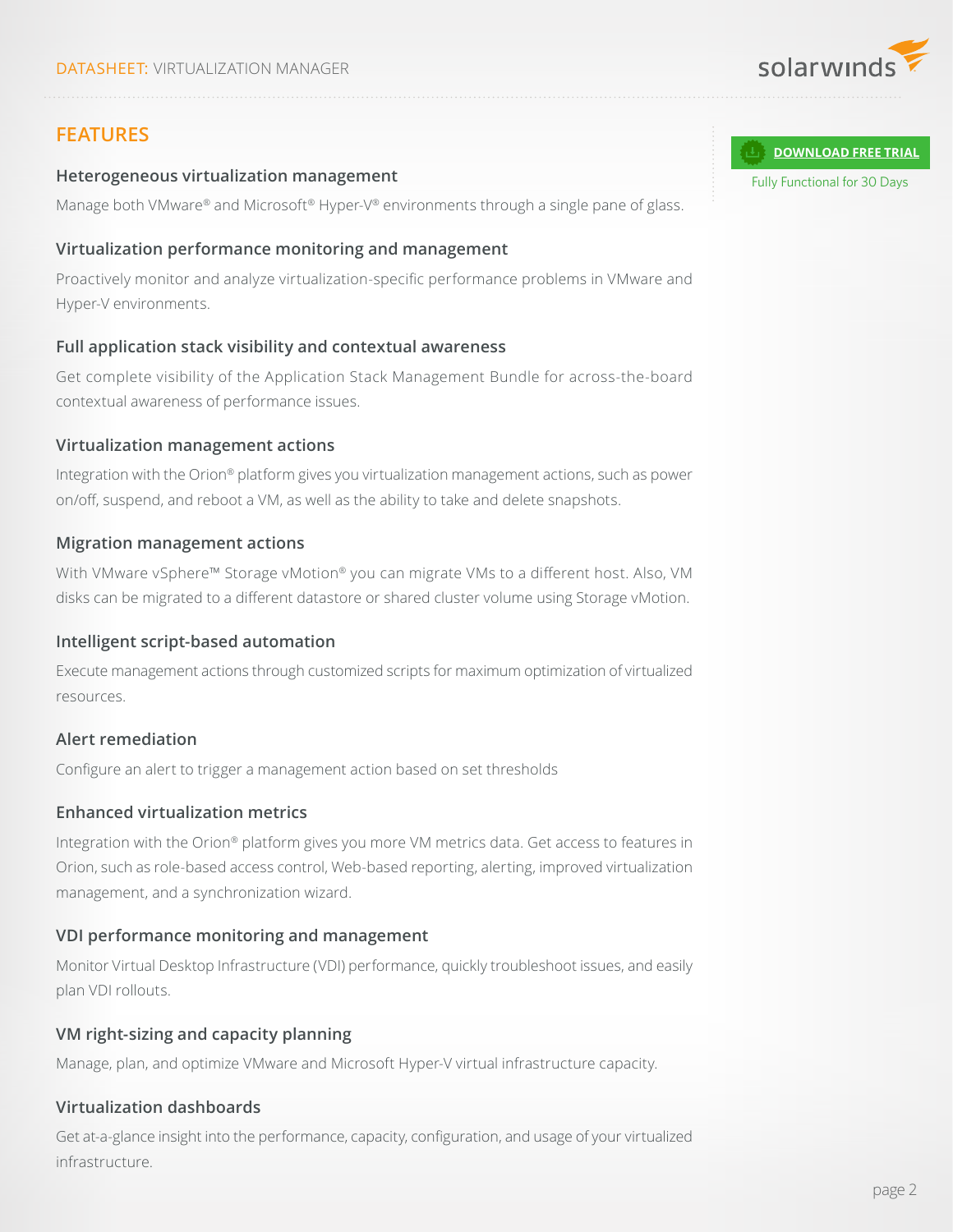

## **FEATURES**

#### **Heterogeneous virtualization management**

Manage both VMware® and Microsoft® Hyper-V® environments through a single pane of glass.

#### **Virtualization performance monitoring and management**

Proactively monitor and analyze virtualization-specific performance problems in VMware and Hyper-V environments.

## **Full application stack visibility and contextual awareness**

Get complete visibility of the Application Stack Management Bundle for across-the-board contextual awareness of performance issues.

#### **Virtualization management actions**

Integration with the Orion® platform gives you virtualization management actions, such as power on/off, suspend, and reboot a VM, as well as the ability to take and delete snapshots.

#### **Migration management actions**

With VMware vSphere™ Storage vMotion® you can migrate VMs to a different host. Also, VM disks can be migrated to a different datastore or shared cluster volume using Storage vMotion.

#### **Intelligent script-based automation**

Execute management actions through customized scripts for maximum optimization of virtualized resources.

## **Alert remediation**

Configure an alert to trigger a management action based on set thresholds

## **Enhanced virtualization metrics**

Integration with the Orion® platform gives you more VM metrics data. Get access to features in Orion, such as role-based access control, Web-based reporting, alerting, improved virtualization management, and a synchronization wizard.

## **VDI performance monitoring and management**

Monitor Virtual Desktop Infrastructure (VDI) performance, quickly troubleshoot issues, and easily plan VDI rollouts.

## **VM right-sizing and capacity planning**

Manage, plan, and optimize VMware and Microsoft Hyper-V virtual infrastructure capacity.

## **Virtualization dashboards**

Get at-a-glance insight into the performance, capacity, configuration, and usage of your virtualized infrastructure.

#### **[DOWNLOAD FREE TRIAL](http://www.solarwinds.com/register/registrationb.aspx?program=1461&c=70150000000P84F)**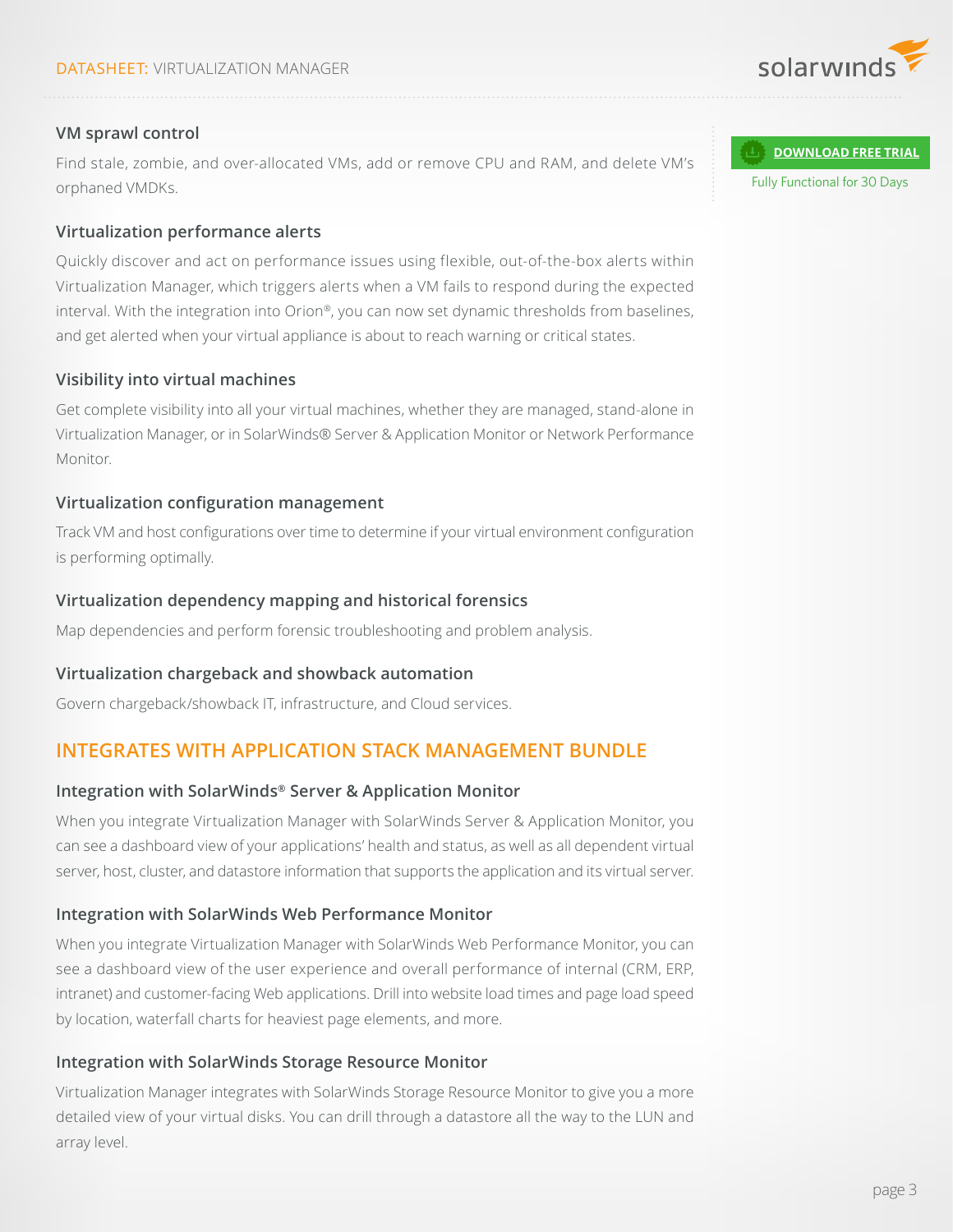

## **VM sprawl control**

Find stale, zombie, and over-allocated VMs, add or remove CPU and RAM, and delete VM's orphaned VMDKs.

## **Virtualization performance alerts**

Quickly discover and act on performance issues using flexible, out-of-the-box alerts within Virtualization Manager, which triggers alerts when a VM fails to respond during the expected interval. With the integration into Orion®, you can now set dynamic thresholds from baselines, and get alerted when your virtual appliance is about to reach warning or critical states.

## **Visibility into virtual machines**

Get complete visibility into all your virtual machines, whether they are managed, stand-alone in Virtualization Manager, or in SolarWinds® Server & Application Monitor or Network Performance Monitor.

## **Virtualization configuration management**

Track VM and host configurations over time to determine if your virtual environment configuration is performing optimally.

## **Virtualization dependency mapping and historical forensics**

Map dependencies and perform forensic troubleshooting and problem analysis.

## **Virtualization chargeback and showback automation**

Govern chargeback/showback IT, infrastructure, and Cloud services.

## **INTEGRATES WITH APPLICATION STACK MANAGEMENT BUNDLE**

## **Integration with SolarWinds® Server & Application Monitor**

When you integrate Virtualization Manager with SolarWinds Server & Application Monitor, you can see a dashboard view of your applications' health and status, as well as all dependent virtual server, host, cluster, and datastore information that supports the application and its virtual server.

## **Integration with SolarWinds Web Performance Monitor**

When you integrate Virtualization Manager with SolarWinds Web Performance Monitor, you can see a dashboard view of the user experience and overall performance of internal (CRM, ERP, intranet) and customer-facing Web applications. Drill into website load times and page load speed by location, waterfall charts for heaviest page elements, and more.

## **Integration with SolarWinds Storage Resource Monitor**

Virtualization Manager integrates with SolarWinds Storage Resource Monitor to give you a more detailed view of your virtual disks. You can drill through a datastore all the way to the LUN and array level.

**[DOWNLOAD FREE TRIAL](http://www.solarwinds.com/register/registrationb.aspx?program=1461&c=70150000000P84F)**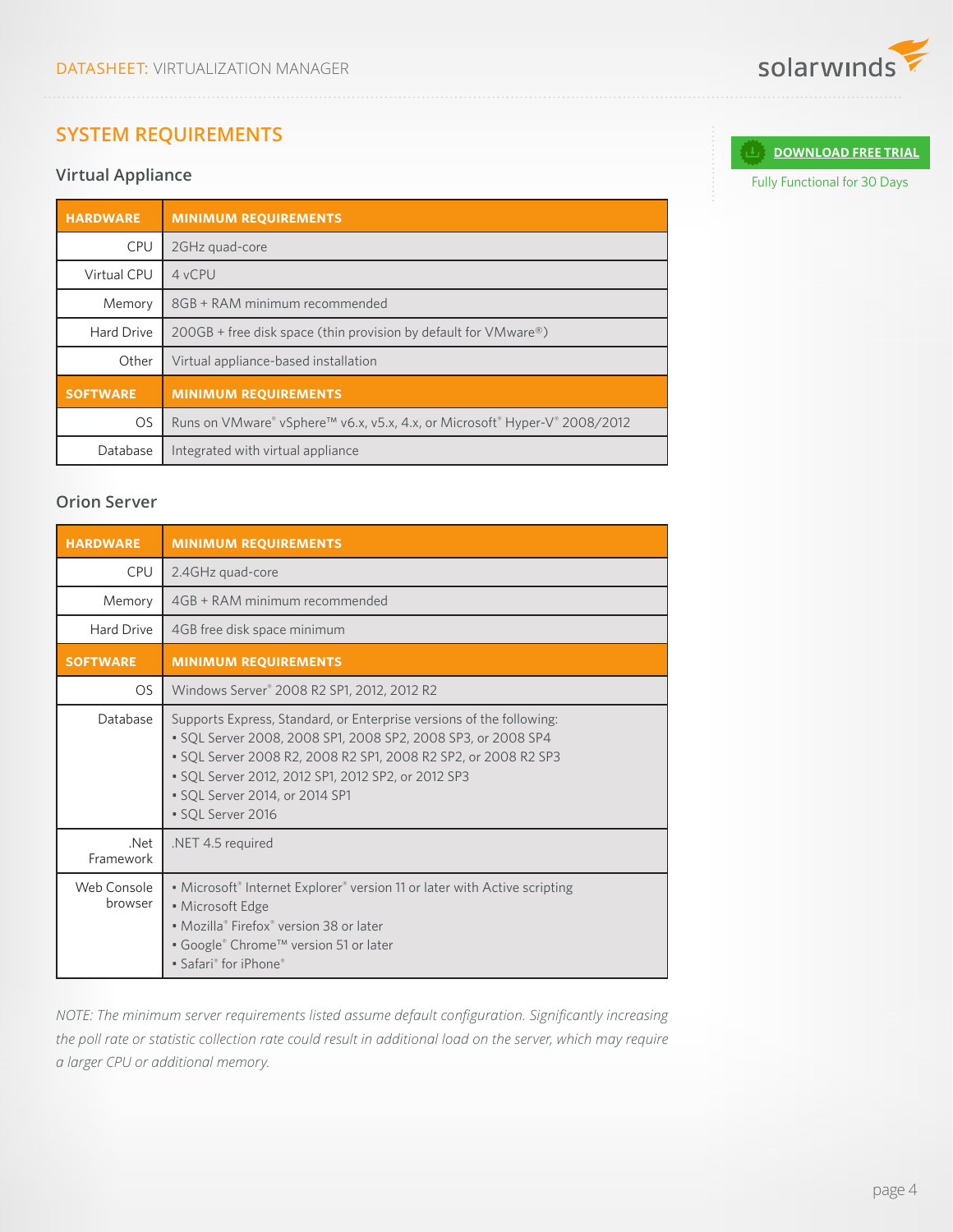# **SYSTEM REQUIREMENTS**

## **Virtual Appliance**

| <b>HARDWARE</b>    | <b>MINIMUM REQUIREMENTS</b>                                                    |
|--------------------|--------------------------------------------------------------------------------|
| CPU                | 2GHz quad-core                                                                 |
| <b>Virtual CPU</b> | 4 vCPU                                                                         |
| Memory             | 8GB + RAM minimum recommended                                                  |
| Hard Drive         | $200GB$ + free disk space (thin provision by default for VMware <sup>®</sup> ) |
| Other              | Virtual appliance-based installation                                           |
| <b>SOFTWARE</b>    | <b>MINIMUM REQUIREMENTS</b>                                                    |
| <b>OS</b>          | Runs on VMware® vSphere™ v6.x, v5.x, 4.x, or Microsoft® Hyper-V® 2008/2012     |
| Database           | Integrated with virtual appliance                                              |

## **Orion Server**

| <b>HARDWARE</b>        | <b>MINIMUM REQUIREMENTS</b>                                                                                                                                                                                                                                                                                         |  |  |  |
|------------------------|---------------------------------------------------------------------------------------------------------------------------------------------------------------------------------------------------------------------------------------------------------------------------------------------------------------------|--|--|--|
| <b>CPU</b>             | 2.4GHz quad-core                                                                                                                                                                                                                                                                                                    |  |  |  |
| Memory                 | 4GB + RAM minimum recommended                                                                                                                                                                                                                                                                                       |  |  |  |
| Hard Drive             | 4GB free disk space minimum                                                                                                                                                                                                                                                                                         |  |  |  |
| <b>SOFTWARE</b>        | <b>MINIMUM REQUIREMENTS</b>                                                                                                                                                                                                                                                                                         |  |  |  |
| OS.                    | Windows Server® 2008 R2 SP1, 2012, 2012 R2                                                                                                                                                                                                                                                                          |  |  |  |
| Database               | Supports Express, Standard, or Enterprise versions of the following:<br>• SQL Server 2008, 2008 SP1, 2008 SP2, 2008 SP3, or 2008 SP4<br>• SOL Server 2008 R2, 2008 R2 SP1, 2008 R2 SP2, or 2008 R2 SP3<br>• SQL Server 2012, 2012 SP1, 2012 SP2, or 2012 SP3<br>• SQL Server 2014, or 2014 SP1<br>· SQL Server 2016 |  |  |  |
| .Net<br>Framework      | .NET 4.5 required                                                                                                                                                                                                                                                                                                   |  |  |  |
| Web Console<br>browser | • Microsoft® Internet Explorer® version 11 or later with Active scripting<br>• Microsoft Edge<br>• Mozilla® Firefox® version 38 or later<br>• Google® Chrome™ version 51 or later<br>• Safari® for iPhone®                                                                                                          |  |  |  |

*NOTE: The minimum server requirements listed assume default configuration. Significantly increasing the poll rate or statistic collection rate could result in additional load on the server, which may require a larger CPU or additional memory.*



**[DOWNLOAD FREE TRIAL](http://www.solarwinds.com/register/registrationb.aspx?program=1461&c=70150000000P84F)**